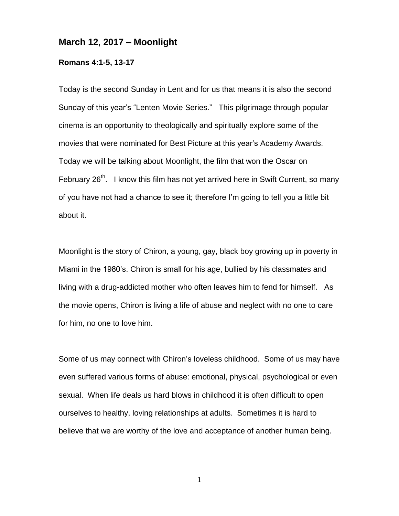## **March 12, 2017 – Moonlight**

## **Romans 4:1-5, 13-17**

Today is the second Sunday in Lent and for us that means it is also the second Sunday of this year's "Lenten Movie Series." This pilgrimage through popular cinema is an opportunity to theologically and spiritually explore some of the movies that were nominated for Best Picture at this year's Academy Awards. Today we will be talking about Moonlight, the film that won the Oscar on February  $26<sup>th</sup>$ . I know this film has not yet arrived here in Swift Current, so many of you have not had a chance to see it; therefore I'm going to tell you a little bit about it.

Moonlight is the story of Chiron, a young, gay, black boy growing up in poverty in Miami in the 1980's. Chiron is small for his age, bullied by his classmates and living with a drug-addicted mother who often leaves him to fend for himself. As the movie opens, Chiron is living a life of abuse and neglect with no one to care for him, no one to love him.

Some of us may connect with Chiron's loveless childhood. Some of us may have even suffered various forms of abuse: emotional, physical, psychological or even sexual. When life deals us hard blows in childhood it is often difficult to open ourselves to healthy, loving relationships at adults. Sometimes it is hard to believe that we are worthy of the love and acceptance of another human being.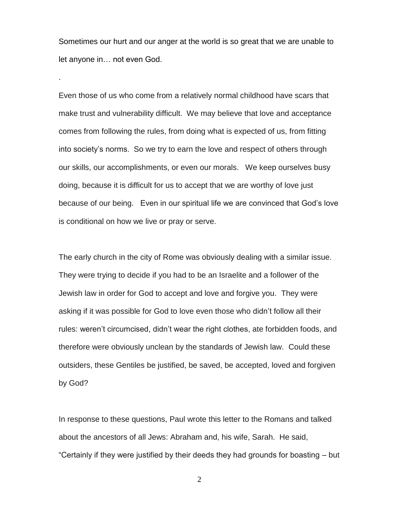Sometimes our hurt and our anger at the world is so great that we are unable to let anyone in… not even God.

.

Even those of us who come from a relatively normal childhood have scars that make trust and vulnerability difficult. We may believe that love and acceptance comes from following the rules, from doing what is expected of us, from fitting into society's norms. So we try to earn the love and respect of others through our skills, our accomplishments, or even our morals. We keep ourselves busy doing, because it is difficult for us to accept that we are worthy of love just because of our being. Even in our spiritual life we are convinced that God's love is conditional on how we live or pray or serve.

The early church in the city of Rome was obviously dealing with a similar issue. They were trying to decide if you had to be an Israelite and a follower of the Jewish law in order for God to accept and love and forgive you. They were asking if it was possible for God to love even those who didn't follow all their rules: weren't circumcised, didn't wear the right clothes, ate forbidden foods, and therefore were obviously unclean by the standards of Jewish law. Could these outsiders, these Gentiles be justified, be saved, be accepted, loved and forgiven by God?

In response to these questions, Paul wrote this letter to the Romans and talked about the ancestors of all Jews: Abraham and, his wife, Sarah. He said, "Certainly if they were justified by their deeds they had grounds for boasting – but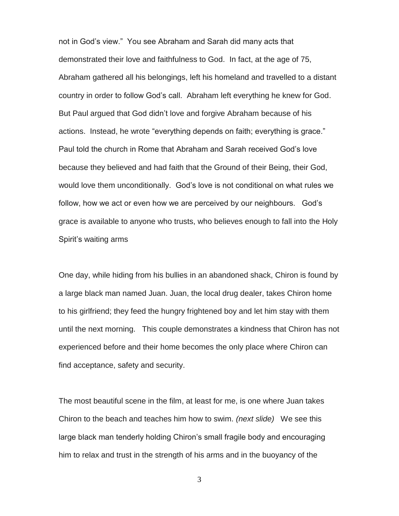not in God's view." You see Abraham and Sarah did many acts that demonstrated their love and faithfulness to God. In fact, at the age of 75, Abraham gathered all his belongings, left his homeland and travelled to a distant country in order to follow God's call. Abraham left everything he knew for God. But Paul argued that God didn't love and forgive Abraham because of his actions. Instead, he wrote "everything depends on faith; everything is grace." Paul told the church in Rome that Abraham and Sarah received God's love because they believed and had faith that the Ground of their Being, their God, would love them unconditionally. God's love is not conditional on what rules we follow, how we act or even how we are perceived by our neighbours. God's grace is available to anyone who trusts, who believes enough to fall into the Holy Spirit's waiting arms

One day, while hiding from his bullies in an abandoned shack, Chiron is found by a large black man named Juan. Juan, the local drug dealer, takes Chiron home to his girlfriend; they feed the hungry frightened boy and let him stay with them until the next morning. This couple demonstrates a kindness that Chiron has not experienced before and their home becomes the only place where Chiron can find acceptance, safety and security.

The most beautiful scene in the film, at least for me, is one where Juan takes Chiron to the beach and teaches him how to swim. *(next slide)* We see this large black man tenderly holding Chiron's small fragile body and encouraging him to relax and trust in the strength of his arms and in the buoyancy of the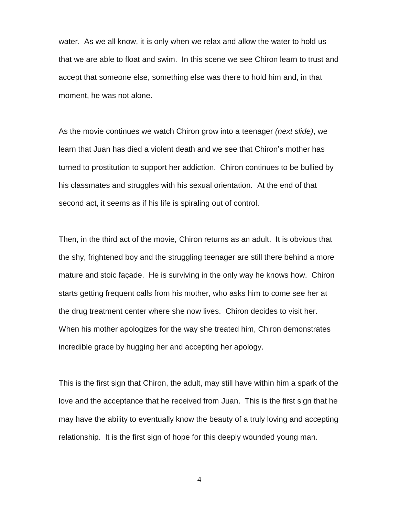water. As we all know, it is only when we relax and allow the water to hold us that we are able to float and swim. In this scene we see Chiron learn to trust and accept that someone else, something else was there to hold him and, in that moment, he was not alone.

As the movie continues we watch Chiron grow into a teenager *(next slide)*, we learn that Juan has died a violent death and we see that Chiron's mother has turned to prostitution to support her addiction. Chiron continues to be bullied by his classmates and struggles with his sexual orientation. At the end of that second act, it seems as if his life is spiraling out of control.

Then, in the third act of the movie, Chiron returns as an adult. It is obvious that the shy, frightened boy and the struggling teenager are still there behind a more mature and stoic façade. He is surviving in the only way he knows how. Chiron starts getting frequent calls from his mother, who asks him to come see her at the drug treatment center where she now lives. Chiron decides to visit her. When his mother apologizes for the way she treated him, Chiron demonstrates incredible grace by hugging her and accepting her apology.

This is the first sign that Chiron, the adult, may still have within him a spark of the love and the acceptance that he received from Juan. This is the first sign that he may have the ability to eventually know the beauty of a truly loving and accepting relationship. It is the first sign of hope for this deeply wounded young man.